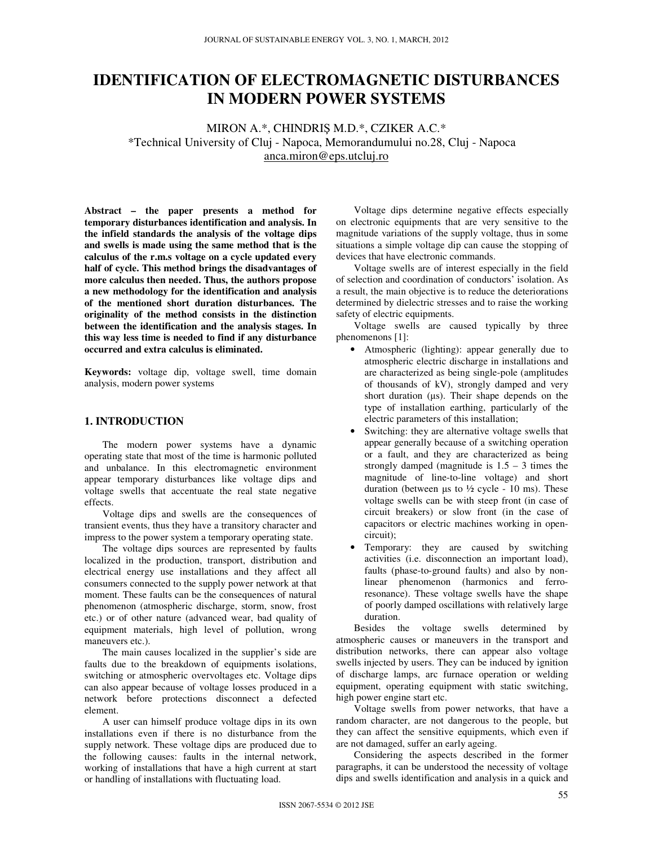# **IDENTIFICATION OF ELECTROMAGNETIC DISTURBANCES IN MODERN POWER SYSTEMS**

MIRON A.\*, CHINDRIŞ M.D.\*, CZIKER A.C.\* \*Technical University of Cluj - Napoca, Memorandumului no.28, Cluj - Napoca anca.miron@eps.utcluj.ro

**Abstract – the paper presents a method for temporary disturbances identification and analysis. In the infield standards the analysis of the voltage dips and swells is made using the same method that is the calculus of the r.m.s voltage on a cycle updated every half of cycle. This method brings the disadvantages of more calculus then needed. Thus, the authors propose a new methodology for the identification and analysis of the mentioned short duration disturbances. The originality of the method consists in the distinction between the identification and the analysis stages. In this way less time is needed to find if any disturbance occurred and extra calculus is eliminated.** 

**Keywords:** voltage dip, voltage swell, time domain analysis, modern power systems

# **1. INTRODUCTION**

The modern power systems have a dynamic operating state that most of the time is harmonic polluted and unbalance. In this electromagnetic environment appear temporary disturbances like voltage dips and voltage swells that accentuate the real state negative effects.

Voltage dips and swells are the consequences of transient events, thus they have a transitory character and impress to the power system a temporary operating state.

The voltage dips sources are represented by faults localized in the production, transport, distribution and electrical energy use installations and they affect all consumers connected to the supply power network at that moment. These faults can be the consequences of natural phenomenon (atmospheric discharge, storm, snow, frost etc.) or of other nature (advanced wear, bad quality of equipment materials, high level of pollution, wrong maneuvers etc.).

The main causes localized in the supplier's side are faults due to the breakdown of equipments isolations, switching or atmospheric overvoltages etc. Voltage dips can also appear because of voltage losses produced in a network before protections disconnect a defected element.

A user can himself produce voltage dips in its own installations even if there is no disturbance from the supply network. These voltage dips are produced due to the following causes: faults in the internal network, working of installations that have a high current at start or handling of installations with fluctuating load.

Voltage dips determine negative effects especially on electronic equipments that are very sensitive to the magnitude variations of the supply voltage, thus in some situations a simple voltage dip can cause the stopping of devices that have electronic commands.

Voltage swells are of interest especially in the field of selection and coordination of conductors' isolation. As a result, the main objective is to reduce the deteriorations determined by dielectric stresses and to raise the working safety of electric equipments.

Voltage swells are caused typically by three phenomenons [1]:

- Atmospheric (lighting): appear generally due to atmospheric electric discharge in installations and are characterized as being single-pole (amplitudes of thousands of kV), strongly damped and very short duration  $(\mu s)$ . Their shape depends on the type of installation earthing, particularly of the electric parameters of this installation;
- Switching: they are alternative voltage swells that appear generally because of a switching operation or a fault, and they are characterized as being strongly damped (magnitude is  $1.5 - 3$  times the magnitude of line-to-line voltage) and short duration (between  $\mu$ s to  $\frac{1}{2}$  cycle - 10 ms). These voltage swells can be with steep front (in case of circuit breakers) or slow front (in the case of capacitors or electric machines working in opencircuit);
- Temporary: they are caused by switching activities (i.e. disconnection an important load), faults (phase-to-ground faults) and also by nonlinear phenomenon (harmonics and ferroresonance). These voltage swells have the shape of poorly damped oscillations with relatively large duration.

Besides the voltage swells determined by atmospheric causes or maneuvers in the transport and distribution networks, there can appear also voltage swells injected by users. They can be induced by ignition of discharge lamps, arc furnace operation or welding equipment, operating equipment with static switching, high power engine start etc.

Voltage swells from power networks, that have a random character, are not dangerous to the people, but they can affect the sensitive equipments, which even if are not damaged, suffer an early ageing.

Considering the aspects described in the former paragraphs, it can be understood the necessity of voltage dips and swells identification and analysis in a quick and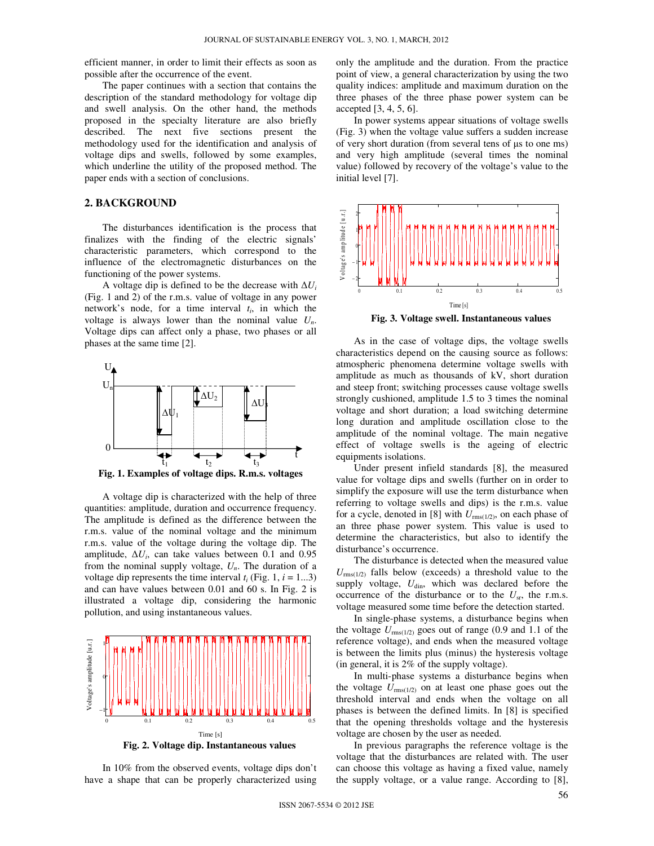efficient manner, in order to limit their effects as soon as possible after the occurrence of the event.

The paper continues with a section that contains the description of the standard methodology for voltage dip and swell analysis. On the other hand, the methods proposed in the specialty literature are also briefly described. The next five sections present the methodology used for the identification and analysis of voltage dips and swells, followed by some examples, which underline the utility of the proposed method. The paper ends with a section of conclusions.

### **2. BACKGROUND**

The disturbances identification is the process that finalizes with the finding of the electric signals' characteristic parameters, which correspond to the influence of the electromagnetic disturbances on the functioning of the power systems.

A voltage dip is defined to be the decrease with  $\Delta U_i$ (Fig. 1 and 2) of the r.m.s. value of voltage in any power network's node, for a time interval  $t_i$ , in which the voltage is always lower than the nominal value  $U_n$ . Voltage dips can affect only a phase, two phases or all phases at the same time [2].



**Fig. 1. Examples of voltage dips. R.m.s. voltages** 

A voltage dip is characterized with the help of three quantities: amplitude, duration and occurrence frequency. The amplitude is defined as the difference between the r.m.s. value of the nominal voltage and the minimum r.m.s. value of the voltage during the voltage dip. The amplitude,  $\Delta U_i$ , can take values between 0.1 and 0.95 from the nominal supply voltage,  $U_n$ . The duration of a voltage dip represents the time interval  $t_i$  (Fig. 1,  $i = 1...3$ ) and can have values between 0.01 and 60 s. In Fig. 2 is illustrated a voltage dip, considering the harmonic pollution, and using instantaneous values.



In 10% from the observed events, voltage dips don't have a shape that can be properly characterized using only the amplitude and the duration. From the practice point of view, a general characterization by using the two quality indices: amplitude and maximum duration on the three phases of the three phase power system can be accepted [3, 4, 5, 6].

In power systems appear situations of voltage swells (Fig. 3) when the voltage value suffers a sudden increase of very short duration (from several tens of µs to one ms) and very high amplitude (several times the nominal value) followed by recovery of the voltage's value to the initial level [7].



**Fig. 3. Voltage swell. Instantaneous values** 

As in the case of voltage dips, the voltage swells characteristics depend on the causing source as follows: atmospheric phenomena determine voltage swells with amplitude as much as thousands of kV, short duration and steep front; switching processes cause voltage swells strongly cushioned, amplitude 1.5 to 3 times the nominal voltage and short duration; a load switching determine long duration and amplitude oscillation close to the amplitude of the nominal voltage. The main negative effect of voltage swells is the ageing of electric equipments isolations.

Under present infield standards [8], the measured value for voltage dips and swells (further on in order to simplify the exposure will use the term disturbance when referring to voltage swells and dips) is the r.m.s. value for a cycle, denoted in [8] with  $U_{\text{rms}(1/2)}$ , on each phase of an three phase power system. This value is used to determine the characteristics, but also to identify the disturbance's occurrence.

The disturbance is detected when the measured value  $U_{\text{rms}(1/2)}$  falls below (exceeds) a threshold value to the supply voltage,  $U_{\text{dim}}$ , which was declared before the occurrence of the disturbance or to the  $U_{\rm sr}$ , the r.m.s. voltage measured some time before the detection started.

In single-phase systems, a disturbance begins when the voltage  $U_{\text{rms}(1/2)}$  goes out of range (0.9 and 1.1 of the reference voltage), and ends when the measured voltage is between the limits plus (minus) the hysteresis voltage (in general, it is 2% of the supply voltage).

In multi-phase systems a disturbance begins when the voltage  $U_{\text{rms}(1/2)}$  on at least one phase goes out the threshold interval and ends when the voltage on all phases is between the defined limits. In [8] is specified that the opening thresholds voltage and the hysteresis voltage are chosen by the user as needed.

In previous paragraphs the reference voltage is the voltage that the disturbances are related with. The user can choose this voltage as having a fixed value, namely the supply voltage, or a value range. According to [8],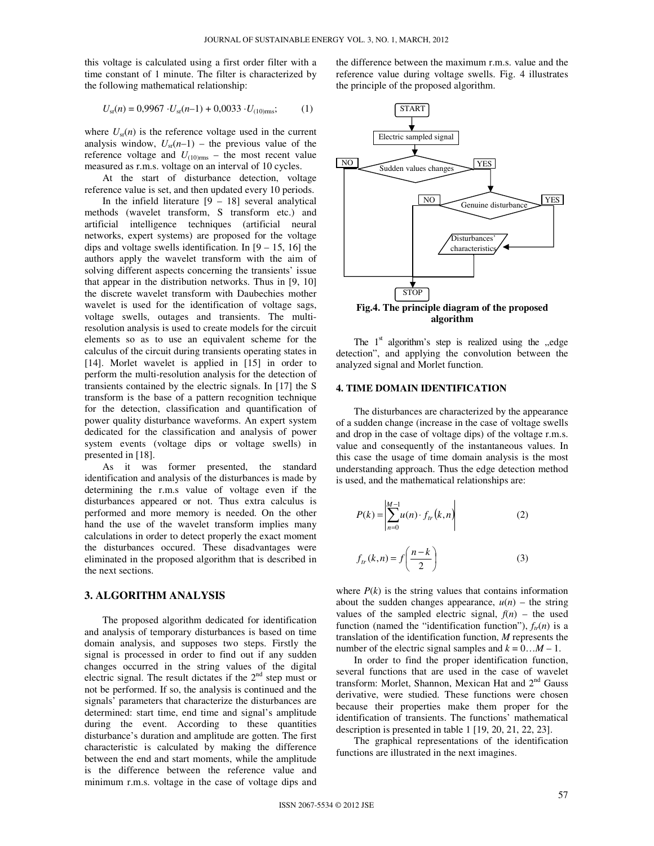this voltage is calculated using a first order filter with a time constant of 1 minute. The filter is characterized by the following mathematical relationship:

$$
U_{\rm sr}(n) = 0,9967 \cdot U_{\rm sr}(n-1) + 0,0033 \cdot U_{(10) \rm rms};\tag{1}
$$

where  $U_{\rm sr}(n)$  is the reference voltage used in the current analysis window,  $U_{sr}(n-1)$  – the previous value of the reference voltage and  $U_{(10)_{\text{rms}}}$  – the most recent value measured as r.m.s. voltage on an interval of 10 cycles.

At the start of disturbance detection, voltage reference value is set, and then updated every 10 periods.

In the infield literature  $[9 - 18]$  several analytical methods (wavelet transform, S transform etc.) and artificial intelligence techniques (artificial neural networks, expert systems) are proposed for the voltage dips and voltage swells identification. In  $[9 - 15, 16]$  the authors apply the wavelet transform with the aim of solving different aspects concerning the transients' issue that appear in the distribution networks. Thus in [9, 10] the discrete wavelet transform with Daubechies mother wavelet is used for the identification of voltage sags, voltage swells, outages and transients. The multiresolution analysis is used to create models for the circuit elements so as to use an equivalent scheme for the calculus of the circuit during transients operating states in [14]. Morlet wavelet is applied in [15] in order to perform the multi-resolution analysis for the detection of transients contained by the electric signals. In [17] the S transform is the base of a pattern recognition technique for the detection, classification and quantification of power quality disturbance waveforms. An expert system dedicated for the classification and analysis of power system events (voltage dips or voltage swells) in presented in [18].

As it was former presented, the standard identification and analysis of the disturbances is made by determining the r.m.s value of voltage even if the disturbances appeared or not. Thus extra calculus is performed and more memory is needed. On the other hand the use of the wavelet transform implies many calculations in order to detect properly the exact moment the disturbances occured. These disadvantages were eliminated in the proposed algorithm that is described in the next sections.

### **3. ALGORITHM ANALYSIS**

The proposed algorithm dedicated for identification and analysis of temporary disturbances is based on time domain analysis, and supposes two steps. Firstly the signal is processed in order to find out if any sudden changes occurred in the string values of the digital electric signal. The result dictates if the  $2<sup>nd</sup>$  step must or not be performed. If so, the analysis is continued and the signals' parameters that characterize the disturbances are determined: start time, end time and signal's amplitude during the event. According to these quantities disturbance's duration and amplitude are gotten. The first characteristic is calculated by making the difference between the end and start moments, while the amplitude is the difference between the reference value and minimum r.m.s. voltage in the case of voltage dips and the difference between the maximum r.m.s. value and the reference value during voltage swells. Fig. 4 illustrates the principle of the proposed algorithm.



**algorithm** 

The  $1<sup>st</sup>$  algorithm's step is realized using the "edge detection", and applying the convolution between the analyzed signal and Morlet function.

#### **4. TIME DOMAIN IDENTIFICATION**

The disturbances are characterized by the appearance of a sudden change (increase in the case of voltage swells and drop in the case of voltage dips) of the voltage r.m.s. value and consequently of the instantaneous values. In this case the usage of time domain analysis is the most understanding approach. Thus the edge detection method is used, and the mathematical relationships are:

$$
P(k) = \left| \sum_{n=0}^{M-1} u(n) \cdot f_{tr}(k, n) \right| \tag{2}
$$

$$
f_{tr}(k,n) = f\left(\frac{n-k}{2}\right) \tag{3}
$$

where  $P(k)$  is the string values that contains information about the sudden changes appearance,  $u(n)$  – the string values of the sampled electric signal,  $f(n)$  – the used function (named the "identification function"),  $f_r(n)$  is a translation of the identification function, *M* represents the number of the electric signal samples and  $k = 0...M - 1$ .

In order to find the proper identification function, several functions that are used in the case of wavelet transform: Morlet, Shannon, Mexican Hat and 2<sup>nd</sup> Gauss derivative, were studied. These functions were chosen because their properties make them proper for the identification of transients. The functions' mathematical description is presented in table 1 [19, 20, 21, 22, 23].

The graphical representations of the identification functions are illustrated in the next imagines.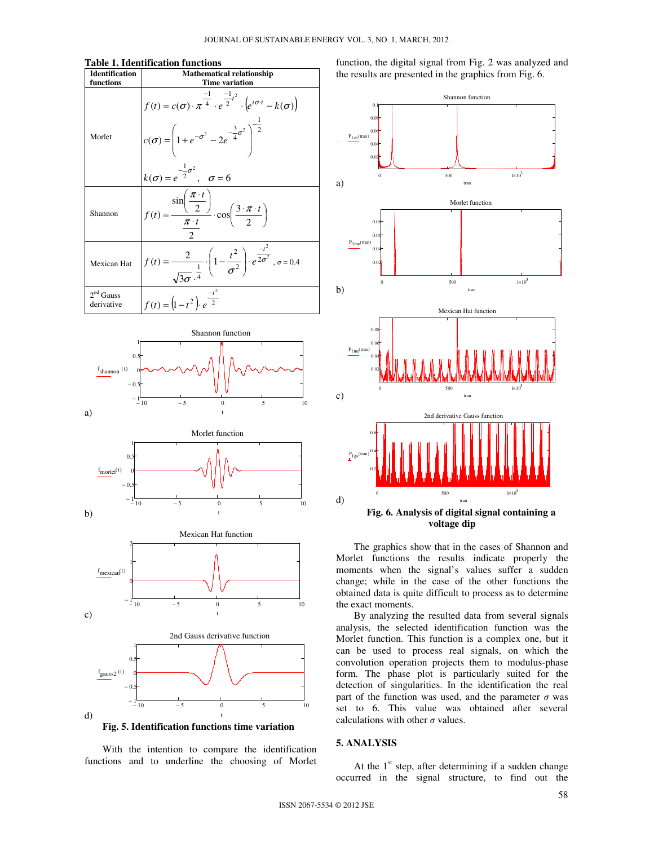#### **Table 1. Identification functions**

| <b>Identification</b>               | <b>Mathematical relationship</b>                                                                                                                                                                                                                                 |  |  |  |
|-------------------------------------|------------------------------------------------------------------------------------------------------------------------------------------------------------------------------------------------------------------------------------------------------------------|--|--|--|
| functions                           | <b>Time variation</b>                                                                                                                                                                                                                                            |  |  |  |
| Morlet                              | $f(t) = c(\sigma) \cdot \pi^{\frac{-1}{4}} \cdot e^{\frac{-1}{2}t^2} \cdot (e^{i\sigma \cdot t} - k(\sigma))$<br>$c(\sigma) = \left(1 + e^{-\sigma^2} - 2e^{\frac{-3}{4}\sigma^2}\right)^{\frac{1}{2}}$<br>$k(\sigma) = e^{-\frac{1}{2}\sigma^2}$ , $\sigma = 6$ |  |  |  |
| Shannon                             | $f(t) = \frac{\sin\left(\frac{\pi \cdot t}{2}\right)}{\pi \cdot t} \cdot \cos\left(\frac{3 \cdot \pi \cdot t}{2}\right)$                                                                                                                                         |  |  |  |
| Mexican Hat                         | $f(t) = \frac{2}{\sqrt{3\sigma}^{\frac{1}{4}}} \cdot \left(1 - \frac{t^2}{\sigma^2}\right) \cdot e^{\frac{-t^2}{2\sigma^2}}, \sigma = 0.4$                                                                                                                       |  |  |  |
| 2 <sup>nd</sup> Gauss<br>derivative | $f(t) = (1-t^2) \cdot e^{\frac{-t^2}{2}}$                                                                                                                                                                                                                        |  |  |  |





**Fig. 5. Identification functions time variation** 

With the intention to compare the identification functions and to underline the choosing of Morlet function, the digital signal from Fig. 2 was analyzed and the results are presented in the graphics from Fig. 6.



The graphics show that in the cases of Shannon and Morlet functions the results indicate properly the moments when the signal's values suffer a sudden change; while in the case of the other functions the obtained data is quite difficult to process as to determine the exact moments.

By analyzing the resulted data from several signals analysis, the selected identification function was the Morlet function. This function is a complex one, but it can be used to process real signals, on which the convolution operation projects them to modulus-phase form. The phase plot is particularly suited for the detection of singularities. In the identification the real part of the function was used, and the parameter  $\sigma$  was set to 6. This value was obtained after several calculations with other  $\sigma$  values.

#### **5. ANALYSIS**

At the  $1<sup>st</sup>$  step, after determining if a sudden change occurred in the signal structure, to find out the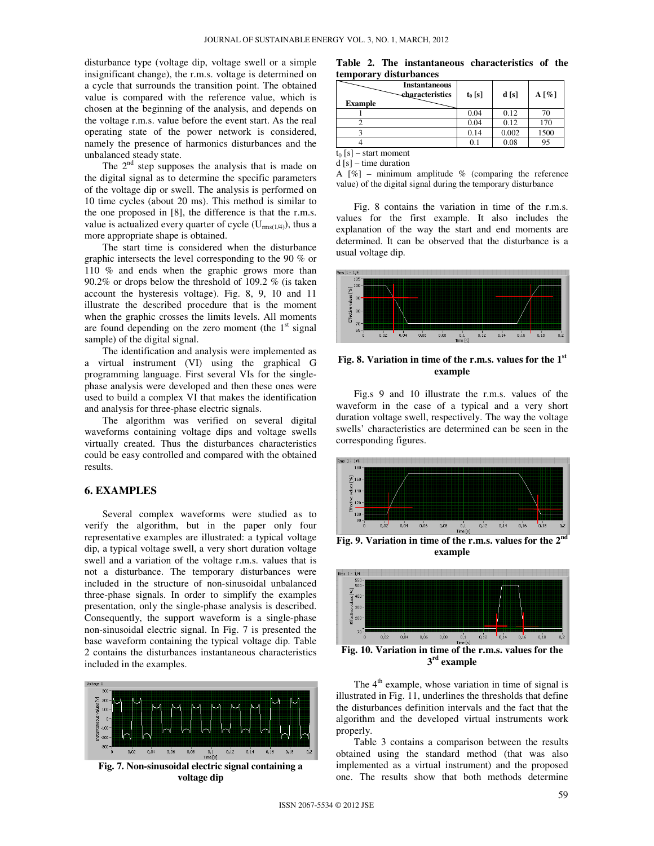disturbance type (voltage dip, voltage swell or a simple insignificant change), the r.m.s. voltage is determined on a cycle that surrounds the transition point. The obtained value is compared with the reference value, which is chosen at the beginning of the analysis, and depends on the voltage r.m.s. value before the event start. As the real operating state of the power network is considered, namely the presence of harmonics disturbances and the unbalanced steady state.

The  $2<sup>nd</sup>$  step supposes the analysis that is made on the digital signal as to determine the specific parameters of the voltage dip or swell. The analysis is performed on 10 time cycles (about 20 ms). This method is similar to the one proposed in [8], the difference is that the r.m.s. value is actualized every quarter of cycle  $(U_{rms(1/4)})$ , thus a more appropriate shape is obtained.

The start time is considered when the disturbance graphic intersects the level corresponding to the 90 % or 110 % and ends when the graphic grows more than 90.2% or drops below the threshold of 109.2 % (is taken account the hysteresis voltage). Fig. 8, 9, 10 and 11 illustrate the described procedure that is the moment when the graphic crosses the limits levels. All moments are found depending on the zero moment (the  $1<sup>st</sup>$  signal sample) of the digital signal.

The identification and analysis were implemented as a virtual instrument (VI) using the graphical G programming language. First several VIs for the singlephase analysis were developed and then these ones were used to build a complex VI that makes the identification and analysis for three-phase electric signals.

The algorithm was verified on several digital waveforms containing voltage dips and voltage swells virtually created. Thus the disturbances characteristics could be easy controlled and compared with the obtained results.

#### **6. EXAMPLES**

Several complex waveforms were studied as to verify the algorithm, but in the paper only four representative examples are illustrated: a typical voltage dip, a typical voltage swell, a very short duration voltage swell and a variation of the voltage r.m.s. values that is not a disturbance. The temporary disturbances were included in the structure of non-sinusoidal unbalanced three-phase signals. In order to simplify the examples presentation, only the single-phase analysis is described. Consequently, the support waveform is a single-phase non-sinusoidal electric signal. In Fig. 7 is presented the base waveform containing the typical voltage dip. Table 2 contains the disturbances instantaneous characteristics included in the examples.



**Fig. 7. Non-sinusoidal electric signal containing a voltage dip** 

**Table 2. The instantaneous characteristics of the temporary disturbances**

| <b>Example</b>                                            | <b>Instantaneous</b><br><b>characteristics</b> | $t_0$ [s] | d[s]  | $A[\%]$ |  |  |
|-----------------------------------------------------------|------------------------------------------------|-----------|-------|---------|--|--|
|                                                           |                                                | 0.04      | 0.12  | 70      |  |  |
|                                                           |                                                | 0.04      | 0.12  | 170     |  |  |
|                                                           |                                                | 0.14      | 0.002 | 1500    |  |  |
|                                                           |                                                | 0.1       | 0.08  | 95      |  |  |
| $\sim$ $\sim$ $\sim$<br><b>Contract Contract Contract</b> |                                                |           |       |         |  |  |

 $t_0$  [s] – start moment

 $d[s]$  – time duration

A  $[\%]$  – minimum amplitude % (comparing the reference value) of the digital signal during the temporary disturbance

Fig. 8 contains the variation in time of the r.m.s. values for the first example. It also includes the explanation of the way the start and end moments are determined. It can be observed that the disturbance is a usual voltage dip.



**Fig. 8. Variation in time of the r.m.s. values for the 1st example** 

Fig.s 9 and 10 illustrate the r.m.s. values of the waveform in the case of a typical and a very short duration voltage swell, respectively. The way the voltage swells' characteristics are determined can be seen in the corresponding figures.



**example** 



**3 rd example** 

The  $4<sup>th</sup>$  example, whose variation in time of signal is illustrated in Fig. 11, underlines the thresholds that define the disturbances definition intervals and the fact that the algorithm and the developed virtual instruments work properly.

Table 3 contains a comparison between the results obtained using the standard method (that was also implemented as a virtual instrument) and the proposed one. The results show that both methods determine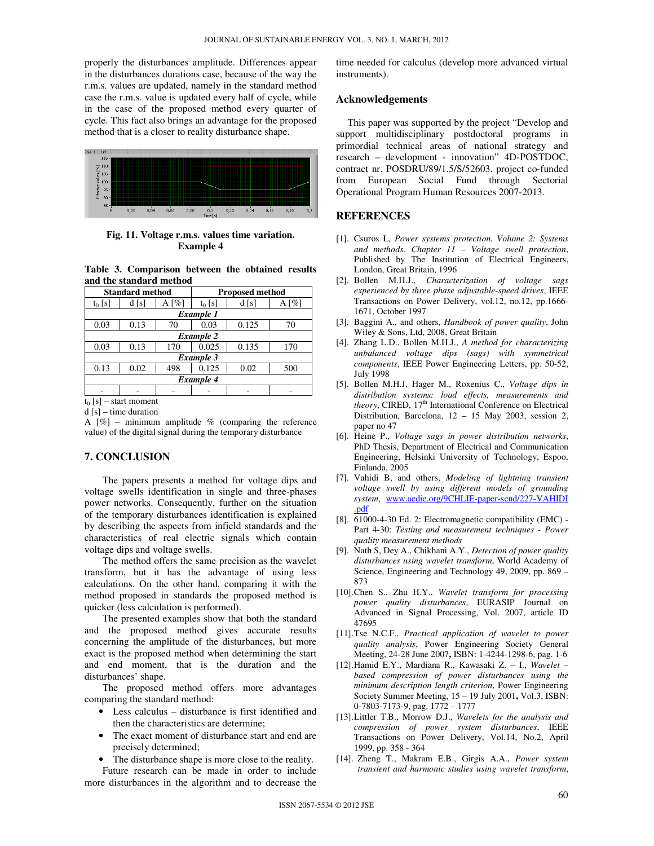properly the disturbances amplitude. Differences appear in the disturbances durations case, because of the way the r.m.s. values are updated, namely in the standard method case the r.m.s. value is updated every half of cycle, while in the case of the proposed method every quarter of cycle. This fact also brings an advantage for the proposed method that is a closer to reality disturbance shape.



**Fig. 11. Voltage r.m.s. values time variation. Example 4** 

**Table 3. Comparison between the obtained results and the standard method** 

| <b>Standard method</b> |      |                     | <b>Proposed method</b> |       |                     |  |  |
|------------------------|------|---------------------|------------------------|-------|---------------------|--|--|
| $t_0$ [s]              | d[s] | A $\lceil\% \rceil$ | $t_0$ [s]              | d[s]  | A $\lceil\% \rceil$ |  |  |
| Example 1              |      |                     |                        |       |                     |  |  |
| 0.03                   | 0.13 | 70                  | 0.03                   | 0.125 | 70                  |  |  |
| <b>Example 2</b>       |      |                     |                        |       |                     |  |  |
| 0.03                   | 0.13 | 170                 | 0.025                  | 0.135 | 170                 |  |  |
| Example 3              |      |                     |                        |       |                     |  |  |
| 0.13                   | 0.02 | 498                 | 0.125                  | 0.02  | 500                 |  |  |
| <b>Example 4</b>       |      |                     |                        |       |                     |  |  |
|                        |      |                     |                        |       |                     |  |  |
| - start moment         |      |                     |                        |       |                     |  |  |

d [s] – time duration

A  $[\%]$  – minimum amplitude % (comparing the reference value) of the digital signal during the temporary disturbance

# **7. CONCLUSION**

The papers presents a method for voltage dips and voltage swells identification in single and three-phases power networks. Consequently, further on the situation of the temporary disturbances identification is explained by describing the aspects from infield standards and the characteristics of real electric signals which contain voltage dips and voltage swells.

The method offers the same precision as the wavelet transform, but it has the advantage of using less calculations. On the other hand, comparing it with the method proposed in standards the proposed method is quicker (less calculation is performed).

The presented examples show that both the standard and the proposed method gives accurate results concerning the amplitude of the disturbances, but more exact is the proposed method when determining the start and end moment, that is the duration and the disturbances' shape.

The proposed method offers more advantages comparing the standard method:

- Less calculus disturbance is first identified and then the characteristics are determine;
- The exact moment of disturbance start and end are precisely determined;
- The disturbance shape is more close to the reality.

Future research can be made in order to include more disturbances in the algorithm and to decrease the time needed for calculus (develop more advanced virtual instruments).

#### **Acknowledgements**

This paper was supported by the project "Develop and support multidisciplinary postdoctoral programs in primordial technical areas of national strategy and research – development - innovation" 4D-POSTDOC, contract nr. POSDRU/89/1.5/S/52603, project co-funded from European Social Fund through Sectorial Operational Program Human Resources 2007-2013.

#### **REFERENCES**

- [1]. Csuros L, *Power systems protection. Volume 2: Systems and methods. Chapter 11 – Voltage swell protection*, Published by The Institution of Electrical Engineers, London, Great Britain, 1996
- [2]. Bollen M.H.J., *Characterization of voltage sags experienced by three phase adjustable-speed drives*, IEEE Transactions on Power Delivery, vol.12, no.12, pp.1666- 1671, October 1997
- [3]. Baggini A., and others, *Handbook of power quality*, John Wiley & Sons, Ltd, 2008, Great Britain
- [4]. Zhang L.D., Bollen M.H.J., *A method for characterizing unbalanced voltage dips (sags) with symmetrical components*, IEEE Power Engineering Letters, pp. 50-52, July 1998
- [5]. Bollen M.H.J, Hager M., Roxenius C., *Voltage dips in distribution systems: load effects, measurements and theory*, CIRED, 17<sup>th</sup> International Conference on Electrical Distribution, Barcelona, 12 – 15 May 2003, session 2, paper no 47
- [6]. Heine P., *Voltage sags in power distribution networks*, PhD Thesis, Department of Electrical and Communication Engineering, Helsinki University of Technology, Espoo, Finlanda, 2005
- [7]. Vahidi B, and others, *Modeling of lightning transient voltage swell by using different models of grounding system*, www.aedie.org/9CHLIE-paper-send/227-VAHIDI .pdf
- [8]. 61000-4-30 Ed. 2: Electromagnetic compatibility (EMC) Part 4-30: *Testing and measurement techniques - Power quality measurement methods*
- [9]. Nath S, Dey A., Chikhani A.Y., *Detection of power quality disturbances using wavelet transform*, World Academy of Science, Engineering and Technology 49, 2009, pp. 869 – 873
- [10].Chen S., Zhu H.Y., *Wavelet transform for processing power quality disturbances*, EURASIP Journal on Advanced in Signal Processing, Vol. 2007, article ID 47695
- [11].Tse N.C.F., *Practical application of wavelet to power quality analysis*, Power Engineering Society General Meeting, 24-28 June 2007**,** ISBN: 1-4244-1298-6, pag. 1-6
- [12].Hamid E.Y., Mardiana R., Kawasaki Z. I., *Wavelet based compression of power disturbances using the minimum description length criterion*, Power Engineering Society Summer Meeting, 15 – 19 July 2001**,** Vol.3, ISBN: 0-7803-7173-9, pag. 1772 – 1777
- [13].Littler T.B., Morrow D.J., *Wavelets for the analysis and compression of power system disturbances*, IEEE Transactions on Power Delivery, Vol.14, No.2, April 1999, pp. 358 - 364
- [14]. Zheng T., Makram E.B., Girgis A.A., *Power system transient and harmonic studies using wavelet transform*,